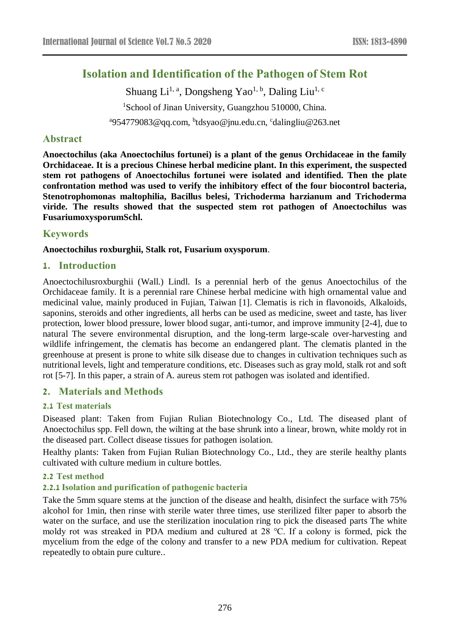# **Isolation and Identification of the Pathogen of Stem Rot**

Shuang Li<sup>1, a</sup>, Dongsheng Yao<sup>1, b</sup>, Daling Liu<sup>1, c</sup> <sup>1</sup>School of Jinan University, Guangzhou 510000, China.

<sup>a</sup>954779083@qq.com, <sup>b</sup>tdsyao@jnu.edu.cn, <sup>c</sup>dalingliu@263.net

#### **Abstract**

**Anoectochilus (aka Anoectochilus fortunei) is a plant of the genus Orchidaceae in the family Orchidaceae. It is a precious Chinese herbal medicine plant. In this experiment, the suspected stem rot pathogens of Anoectochilus fortunei were isolated and identified. Then the plate confrontation method was used to verify the inhibitory effect of the four biocontrol bacteria, Stenotrophomonas maltophilia, Bacillus belesi, Trichoderma harzianum and Trichoderma viride. The results showed that the suspected stem rot pathogen of Anoectochilus was FusariumoxysporumSchl.**

## **Keywords**

**Anoectochilus roxburghii, Stalk rot, Fusarium oxysporum**.

## **1. Introduction**

Anoectochilusroxburghii (Wall.) Lindl. Is a perennial herb of the genus Anoectochilus of the Orchidaceae family. It is a perennial rare Chinese herbal medicine with high ornamental value and medicinal value, mainly produced in Fujian, Taiwan [1]. Clematis is rich in flavonoids, Alkaloids, saponins, steroids and other ingredients, all herbs can be used as medicine, sweet and taste, has liver protection, lower blood pressure, lower blood sugar, anti-tumor, and improve immunity [2-4], due to natural The severe environmental disruption, and the long-term large-scale over-harvesting and wildlife infringement, the clematis has become an endangered plant. The clematis planted in the greenhouse at present is prone to white silk disease due to changes in cultivation techniques such as nutritional levels, light and temperature conditions, etc. Diseases such as gray mold, stalk rot and soft rot [5-7]. In this paper, a strain of A. aureus stem rot pathogen was isolated and identified.

## **2. Materials and Methods**

#### **2.1 Test materials**

Diseased plant: Taken from Fujian Rulian Biotechnology Co., Ltd. The diseased plant of Anoectochilus spp. Fell down, the wilting at the base shrunk into a linear, brown, white moldy rot in the diseased part. Collect disease tissues for pathogen isolation.

Healthy plants: Taken from Fujian Rulian Biotechnology Co., Ltd., they are sterile healthy plants cultivated with culture medium in culture bottles.

#### **2.2 Test method**

#### **2.2.1 Isolation and purification of pathogenic bacteria**

Take the 5mm square stems at the junction of the disease and health, disinfect the surface with 75% alcohol for 1min, then rinse with sterile water three times, use sterilized filter paper to absorb the water on the surface, and use the sterilization inoculation ring to pick the diseased parts The white moldy rot was streaked in PDA medium and cultured at 28 ℃. If a colony is formed, pick the mycelium from the edge of the colony and transfer to a new PDA medium for cultivation. Repeat repeatedly to obtain pure culture..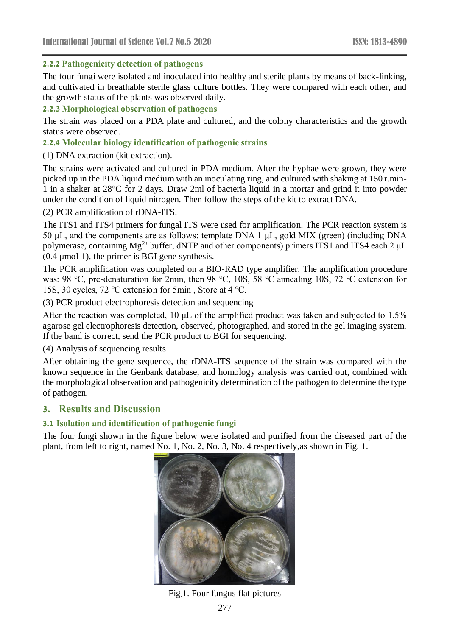#### **2.2.2 Pathogenicity detection of pathogens**

The four fungi were isolated and inoculated into healthy and sterile plants by means of back-linking, and cultivated in breathable sterile glass culture bottles. They were compared with each other, and the growth status of the plants was observed daily.

#### **2.2.3 Morphological observation of pathogens**

The strain was placed on a PDA plate and cultured, and the colony characteristics and the growth status were observed.

#### **2.2.4 Molecular biology identification of pathogenic strains**

(1) DNA extraction (kit extraction).

The strains were activated and cultured in PDA medium. After the hyphae were grown, they were picked up in the PDA liquid medium with an inoculating ring, and cultured with shaking at 150 r.min-1 in a shaker at 28°C for 2 days. Draw 2ml of bacteria liquid in a mortar and grind it into powder under the condition of liquid nitrogen. Then follow the steps of the kit to extract DNA.

(2) PCR amplification of rDNA-ITS.

The ITS1 and ITS4 primers for fungal ITS were used for amplification. The PCR reaction system is 50 μL, and the components are as follows: template DNA 1 μL, gold MIX (green) (including DNA polymerase, containing  $Mg^{2+}$  buffer, dNTP and other components) primers ITS1 and ITS4 each 2 µL (0.4 μmol-1), the primer is BGI gene synthesis.

The PCR amplification was completed on a BIO-RAD type amplifier. The amplification procedure was: 98 °C, pre-denaturation for 2min, then 98 °C, 10S, 58 °C annealing 10S, 72 °C extension for 15S, 30 cycles, 72 ℃ extension for 5min , Store at 4 ℃.

(3) PCR product electrophoresis detection and sequencing

After the reaction was completed, 10 μL of the amplified product was taken and subjected to 1.5% agarose gel electrophoresis detection, observed, photographed, and stored in the gel imaging system. If the band is correct, send the PCR product to BGI for sequencing.

(4) Analysis of sequencing results

After obtaining the gene sequence, the rDNA-ITS sequence of the strain was compared with the known sequence in the Genbank database, and homology analysis was carried out, combined with the morphological observation and pathogenicity determination of the pathogen to determine the type of pathogen.

## **3. Results and Discussion**

#### **3.1 Isolation and identification of pathogenic fungi**

The four fungi shown in the figure below were isolated and purified from the diseased part of the plant, from left to right, named No. 1, No. 2, No. 3, No. 4 respectively,as shown in Fig. 1.



Fig.1. Four fungus flat pictures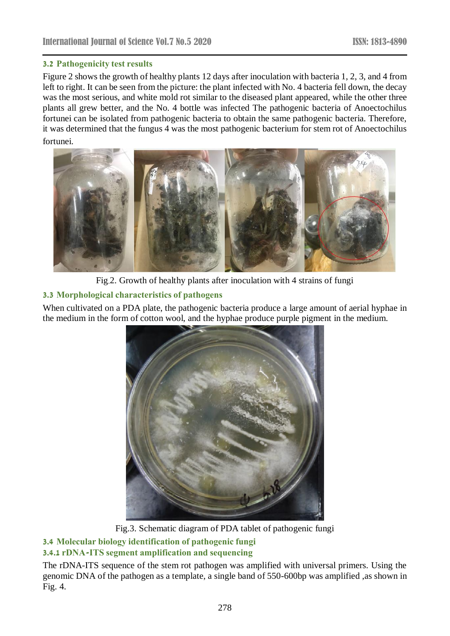#### **3.2 Pathogenicity test results**

Figure 2 shows the growth of healthy plants 12 days after inoculation with bacteria 1, 2, 3, and 4 from left to right. It can be seen from the picture: the plant infected with No. 4 bacteria fell down, the decay was the most serious, and white mold rot similar to the diseased plant appeared, while the other three plants all grew better, and the No. 4 bottle was infected The pathogenic bacteria of Anoectochilus fortunei can be isolated from pathogenic bacteria to obtain the same pathogenic bacteria. Therefore, it was determined that the fungus 4 was the most pathogenic bacterium for stem rot of Anoectochilus fortunei.



Fig.2. Growth of healthy plants after inoculation with 4 strains of fungi

## **3.3 Morphological characteristics of pathogens**

When cultivated on a PDA plate, the pathogenic bacteria produce a large amount of aerial hyphae in the medium in the form of cotton wool, and the hyphae produce purple pigment in the medium.



Fig.3. Schematic diagram of PDA tablet of pathogenic fungi

# **3.4 Molecular biology identification of pathogenic fungi**

## **3.4.1 rDNA-ITS segment amplification and sequencing**

The rDNA-ITS sequence of the stem rot pathogen was amplified with universal primers. Using the genomic DNA of the pathogen as a template, a single band of 550-600bp was amplified ,as shown in Fig. 4.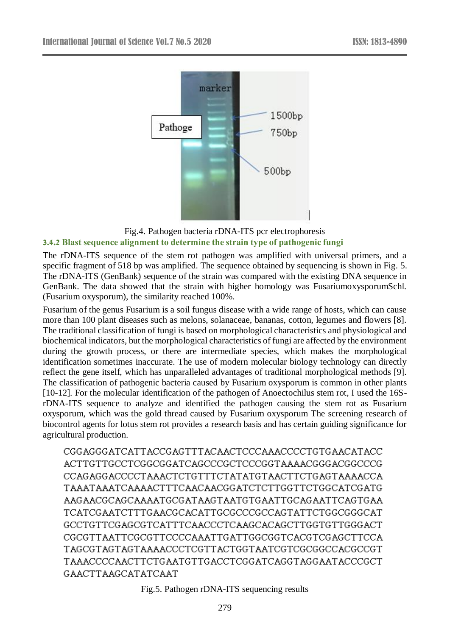

#### Fig.4. Pathogen bacteria rDNA-ITS pcr electrophoresis **3.4.2 Blast sequence alignment to determine the strain type of pathogenic fungi**

The rDNA-ITS sequence of the stem rot pathogen was amplified with universal primers, and a specific fragment of 518 bp was amplified. The sequence obtained by sequencing is shown in Fig. 5. The rDNA-ITS (GenBank) sequence of the strain was compared with the existing DNA sequence in GenBank. The data showed that the strain with higher homology was FusariumoxysporumSchl. (Fusarium oxysporum), the similarity reached 100%.

Fusarium of the genus Fusarium is a soil fungus disease with a wide range of hosts, which can cause more than 100 plant diseases such as melons, solanaceae, bananas, cotton, legumes and flowers [8]. The traditional classification of fungi is based on morphological characteristics and physiological and biochemical indicators, but the morphological characteristics of fungi are affected by the environment during the growth process, or there are intermediate species, which makes the morphological identification sometimes inaccurate. The use of modern molecular biology technology can directly reflect the gene itself, which has unparalleled advantages of traditional morphological methods [9]. The classification of pathogenic bacteria caused by Fusarium oxysporum is common in other plants [10-12]. For the molecular identification of the pathogen of Anoectochilus stem rot, I used the 16SrDNA-ITS sequence to analyze and identified the pathogen causing the stem rot as Fusarium oxysporum, which was the gold thread caused by Fusarium oxysporum The screening research of biocontrol agents for lotus stem rot provides a research basis and has certain guiding significance for agricultural production.

CGGAGGGATCATTACCGAGTTTACAACTCCCAAACCCCTGTGAACATACC ACTTGTTGCCTCGGCGGATCAGCCCGCTCCCGGTAAAACGGGACGGCCCG CCAGAGGACCCCTAAACTCTGTTTCTATATGTAACTTCTGAGTAAAACCA TAAATAAATCAAAACTTTCAACAACGGATCTCTTGGTTCTGGCATCGATG AAGAACGCAGCAAAATGCGATAAGTAATGTGAATTGCAGAATTCAGTGAA TCATCGAATCTTTGAACGCACATTGCGCCCGCCAGTATTCTGGCGGGCAT GCCTGTTCGAGCGTCATTTCAACCCTCAAGCACAGCTTGGTGTTGGGACT CGCGTTAATTCGCGTTCCCCAAATTGATTGGCGGTCACGTCGAGCTTCCA TAGCGTAGTAGTAAAACCCTCGTTACTGGTAATCGTCGCGGCCACGCCGT TAAACCCCAACTTCTGAATGTTGACCTCGGATCAGGTAGGAATACCCGCT GAACTTAAGCATATCAAT

Fig.5. Pathogen rDNA-ITS sequencing results